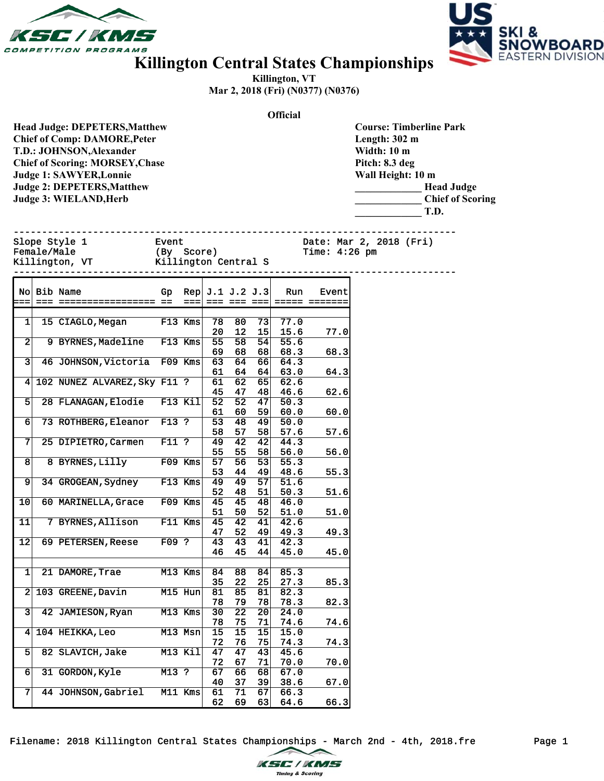



## **Killington Central States Championships**

**Killington, VT Mar 2, 2018 (Fri) (N0377) (N0376)**

**Official**

------------------------------------------------------------------------------

| <b>Head Judge: DEPETERS, Matthew</b>   |
|----------------------------------------|
| <b>Chief of Comp: DAMORE, Peter</b>    |
| T.D.: JOHNSON, Alexander               |
| <b>Chief of Scoring: MORSEY, Chase</b> |
| <b>Judge 1: SAWYER, Lonnie</b>         |
| <b>Judge 2: DEPETERS, Matthew</b>      |
| Judge 3: WIELAND, Herb                 |
|                                        |

**Course: Timberline Park Length: 302 m Width: 10 m Pitch: 8.3 deg Wall Height: 10 m \_\_\_\_\_\_\_\_\_\_\_\_\_ Head Judge \_\_\_\_\_\_\_\_\_\_\_\_\_ Chief of Scoring \_\_\_\_\_\_\_\_\_\_\_\_\_ T.D.**

| Slope Style 1  | Event                |
|----------------|----------------------|
| Female/Male    | (By Score)           |
| Killington, VT | Killington Central S |

Slope Style 1 Event Event Date: Mar 2, 2018 (Fri)<br>Female/Male (By Score) Time: 4:26 pm Female/Male (By Score) Time: 4:26 pm

| Nol            | Bib Name                     | Gp      | Rep       |    | $J.1$ $J.2$ $J.3$ |             | Run               | Event |
|----------------|------------------------------|---------|-----------|----|-------------------|-------------|-------------------|-------|
| $=$ $=$        | =================            | $=$ $=$ | $===$     |    | $==$              | $=$ $=$ $=$ | $=$ $=$ $=$ $=$   | $=$   |
|                |                              |         |           |    |                   |             |                   |       |
| 1              | 15 CIAGLO, Megan             |         | F13 Kms   | 78 | 80                | 73          | 77.0              |       |
|                |                              |         |           | 20 | 12                | 15          | 15.6              | 77.0  |
|                | 9 BYRNES, Madeline           |         |           |    |                   |             |                   |       |
| $\mathbf{2}$   |                              |         | F13 Kms   | 55 | 58                | 54          | 55.6              |       |
|                |                              |         |           | 69 | 68                | 68          | 68.3              | 68.3  |
| 3              | 46 JOHNSON, Victoria         |         | F09 Kms   | 63 | 64                | 66          | 64.3              |       |
|                |                              |         |           | 61 | 64                | 64          | 63.0              | 64.3  |
| 4              | 102 NUNEZ ALVAREZ, Sky F11 ? |         |           | 61 | 62                | 65          | 62.6              |       |
|                |                              |         |           | 45 | 47                | 48          | 46.6              | 62.6  |
| 5.             | 28 FLANAGAN, Elodie          |         | F13 Kil   | 52 | 52                | 471         | 50.3              |       |
|                |                              |         |           | 61 | 60                | 59          | 60.0              | 60.0  |
| 6              | 73 ROTHBERG, Eleanor         | F13 ?   |           | 53 | 48                | 49          | 50.0              |       |
|                |                              |         |           | 58 | 57                | 58          | 57.6              | 57.6  |
| 7              | 25 DIPIETRO, Carmen          | $F11$ ? |           | 49 | 42                | 42          | 44.3              |       |
|                |                              |         |           | 55 | 55                | 58          | 56.0              | 56.0  |
| $\overline{8}$ | 8 BYRNES, Lilly              |         | F09 Kms   | 57 | 56                | 53          | 55.3              |       |
|                |                              |         |           | 53 | 44                | 49          | 48.6              | 55.3  |
| $\overline{9}$ | 34 GROGEAN, Sydney           |         | F13 Kms   | 49 | 49                | 57          | 51.6              |       |
|                |                              |         |           | 52 | 48                | 51          | 50.3              | 51.6  |
| 10             | 60 MARINELLA, Grace          |         | $F09$ Kms | 45 | 45                | 48          | 46.0              |       |
|                |                              |         |           | 51 | 50                | 521         | 51.0              | 51.0  |
| 11             | 7 BYRNES, Allison            |         | F11 Kms   | 45 | 42                | 41          | 42.6              |       |
|                |                              |         |           | 47 | 52                | 49          | 49.3              | 49.3  |
| $12 \,$        | 69 PETERSEN, Reese           | F09 ?   |           | 43 | 43                | 41          | 42.3              |       |
|                |                              |         |           | 46 | 45                | 44          | 45.0              | 45.0  |
|                |                              |         |           |    |                   |             |                   |       |
| 1              | 21 DAMORE, Trae              |         | M13 Kms   | 84 | 88                | 84          | 85.3              |       |
|                |                              |         |           | 35 | 22                | 25          | 27.3              | 85.3  |
| $2\vert$       | 103 GREENE, Davin            |         | M15 Hun   | 81 | 85                | 81          | 82.3              |       |
|                |                              |         |           | 78 | 79                | 78          | 78.3              | 82.3  |
| 3              | 42 JAMIESON, Ryan            |         | M13 Kms   | 30 | 22                | 20          | $\overline{24.0}$ |       |
|                |                              |         |           | 78 | 75                | 71          | 74.6              | 74.6  |
| 41             |                              |         | M13 Msn   | 15 | 15                | 15          |                   |       |
|                | 104 HEIKKA, Leo              |         |           | 72 | 76                | 75          | 15.0<br>74.3      |       |
| 5.             |                              |         |           | 47 | 47                |             |                   | 74.3  |
|                | 82 SLAVICH, Jake             |         | M13 Kil   |    |                   | 43          | 45.6              |       |
|                |                              |         |           | 72 | 67                | 71          | 70.0              | 70.0  |
| 6              | 31 GORDON, Kyle              | M13 ?   |           | 67 | 66                | 68          | 67.0              |       |
|                |                              |         |           | 40 | 37                | 39          | 38.6              | 67.0  |
| 7              | 44 JOHNSON, Gabriel          |         | M11 Kms   | 61 | 71                | 67          | 66.3              |       |
|                |                              |         |           | 62 | 69                | 63          | 64.6              | 66.3  |

Filename: 2018 Killington Central States Championships - March 2nd - 4th, 2018.fre Page 1